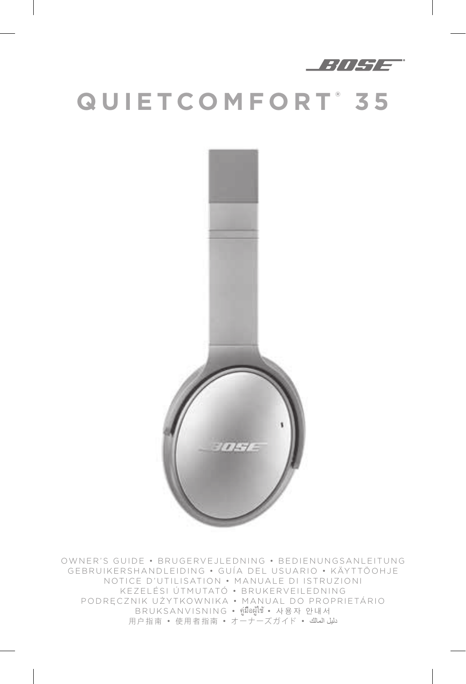

# **QUIETCOMFORT ® 3 5**



OWNER'S GUIDE • BRUGERVEJLEDNING • BEDIENUNGSANLEITUNG GEBRUIKERSHANDLEIDING • GUÍA DEL USUARIO • KÄYTTÖOHJE NOTICE D'UTILISATION • MANUALE DI ISTRUZIONI KEZELÉSI ÚTMUTATÓ • BRUKERVEILEDNING PODRĘCZNIK UŻYTKOWNIKA • MANUAL DO PROPRIETÁRIO BRUKSANVISNING • คู่มืิอผู้ใช้ • 사용자 안내서 用户指南 • 使用者指南 • オーナーズガイド • المالك دليل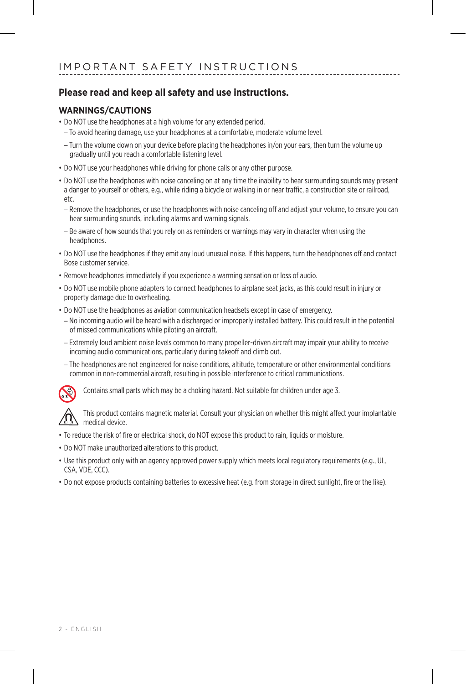#### **Please read and keep all safety and use instructions.**

#### **WARNINGS/CAUTIONS**

- Do NOT use the headphones at a high volume for any extended period.
- To avoid hearing damage, use your headphones at a comfortable, moderate volume level.
- Turn the volume down on your device before placing the headphones in/on your ears, then turn the volume up gradually until you reach a comfortable listening level.
- Do NOT use your headphones while driving for phone calls or any other purpose.
- Do NOT use the headphones with noise canceling on at any time the inability to hear surrounding sounds may present a danger to yourself or others, e.g., while riding a bicycle or walking in or near traffic, a construction site or railroad, etc.
	- Remove the headphones, or use the headphones with noise canceling off and adjust your volume, to ensure you can hear surrounding sounds, including alarms and warning signals.
	- Be aware of how sounds that you rely on as reminders or warnings may vary in character when using the headphones.
- Do NOT use the headphones if they emit any loud unusual noise. If this happens, turn the headphones off and contact Bose customer service.
- Remove headphones immediately if you experience a warming sensation or loss of audio.
- Do NOT use mobile phone adapters to connect headphones to airplane seat jacks, as this could result in injury or property damage due to overheating.
- Do NOT use the headphones as aviation communication headsets except in case of emergency.
	- No incoming audio will be heard with a discharged or improperly installed battery. This could result in the potential of missed communications while piloting an aircraft.
	- Extremely loud ambient noise levels common to many propeller-driven aircraft may impair your ability to receive incoming audio communications, particularly during takeoff and climb out.
	- The headphones are not engineered for noise conditions, altitude, temperature or other environmental conditions common in non-commercial aircraft, resulting in possible interference to critical communications.



Contains small parts which may be a choking hazard. Not suitable for children under age 3.

This product contains magnetic material. Consult your physician on whether this might affect your implantable medical device.

- To reduce the risk of fire or electrical shock, do NOT expose this product to rain, liquids or moisture.
- Do NOT make unauthorized alterations to this product.
- Use this product only with an agency approved power supply which meets local regulatory requirements (e.g., UL, CSA, VDE, CCC).
- Do not expose products containing batteries to excessive heat (e.g. from storage in direct sunlight, fire or the like).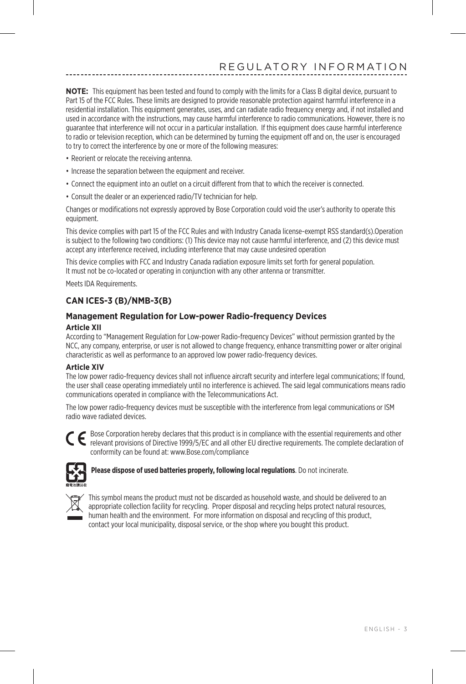**NOTE:** This equipment has been tested and found to comply with the limits for a Class B digital device, pursuant to Part 15 of the FCC Rules. These limits are designed to provide reasonable protection against harmful interference in a residential installation. This equipment generates, uses, and can radiate radio frequency energy and, if not installed and used in accordance with the instructions, may cause harmful interference to radio communications. However, there is no guarantee that interference will not occur in a particular installation. If this equipment does cause harmful interference to radio or television reception, which can be determined by turning the equipment off and on, the user is encouraged to try to correct the interference by one or more of the following measures:

- Reorient or relocate the receiving antenna.
- Increase the separation between the equipment and receiver.
- Connect the equipment into an outlet on a circuit different from that to which the receiver is connected.
- Consult the dealer or an experienced radio/TV technician for help.

Changes or modifications not expressly approved by Bose Corporation could void the user's authority to operate this equipment.

This device complies with part 15 of the FCC Rules and with Industry Canada license-exempt RSS standard(s).Operation is subject to the following two conditions: (1) This device may not cause harmful interference, and (2) this device must accept any interference received, including interference that may cause undesired operation

This device complies with FCC and Industry Canada radiation exposure limits set forth for general population. It must not be co-located or operating in conjunction with any other antenna or transmitter.

Meets IDA Requirements.

#### **CAN ICES-3 (B)/NMB-3(B)**

#### **Management Regulation for Low-power Radio-frequency Devices Article XII**

According to "Management Regulation for Low-power Radio-frequency Devices" without permission granted by the NCC, any company, enterprise, or user is not allowed to change frequency, enhance transmitting power or alter original characteristic as well as performance to an approved low power radio-frequency devices.

#### **Article XIV**

The low power radio-frequency devices shall not influence aircraft security and interfere legal communications; If found, the user shall cease operating immediately until no interference is achieved. The said legal communications means radio communications operated in compliance with the Telecommunications Act.

The low power radio-frequency devices must be susceptible with the interference from legal communications or ISM radio wave radiated devices.



Bose Corporation hereby declares that this product is in compliance with the essential requirements and other relevant provisions of Directive 1999/5/EC and all other EU directive requirements. The complete declaration of conformity can be found at: www.Bose.com/compliance



**Please dispose of used batteries properly, following local regulations**. Do not incinerate.



This symbol means the product must not be discarded as household waste, and should be delivered to an appropriate collection facility for recycling. Proper disposal and recycling helps protect natural resources, human health and the environment. For more information on disposal and recycling of this product, contact your local municipality, disposal service, or the shop where you bought this product.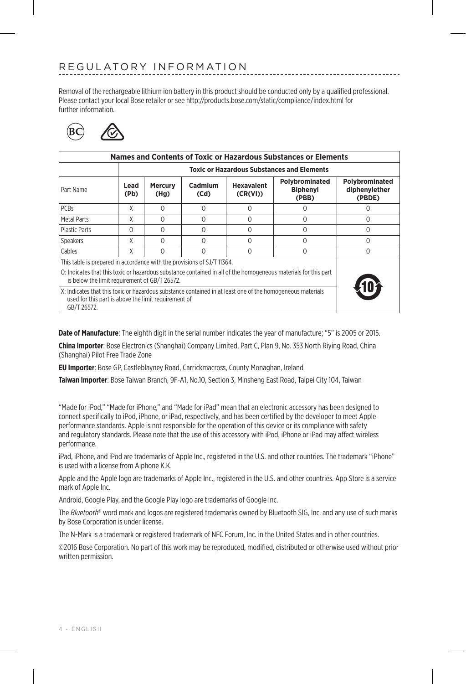Removal of the rechargeable lithium ion battery in this product should be conducted only by a qualified professional. Please contact your local Bose retailer or see http://products.bose.com/static/compliance/index.html for further information.



| Names and Contents of Toxic or Hazardous Substances or Elements                                                                                                                   |                                                   |                        |                 |                               |                                            |                                           |
|-----------------------------------------------------------------------------------------------------------------------------------------------------------------------------------|---------------------------------------------------|------------------------|-----------------|-------------------------------|--------------------------------------------|-------------------------------------------|
|                                                                                                                                                                                   | <b>Toxic or Hazardous Substances and Elements</b> |                        |                 |                               |                                            |                                           |
| Part Name                                                                                                                                                                         | Lead<br>(Pb)                                      | <b>Mercury</b><br>(Hg) | Cadmium<br>(Cd) | <b>Hexavalent</b><br>(CR(VI)) | Polybrominated<br><b>Biphenvl</b><br>(PBB) | Polybrominated<br>diphenylether<br>(PBDE) |
| <b>PCBs</b>                                                                                                                                                                       | X                                                 | $\Omega$               | $\Omega$        | 0                             | 0                                          | Ω                                         |
| Metal Parts                                                                                                                                                                       | χ                                                 | $\Omega$               | $\Omega$        | 0                             | 0                                          | 0                                         |
| <b>Plastic Parts</b>                                                                                                                                                              | $\Omega$                                          | $\Omega$               | $\Omega$        | O                             | 0                                          | O                                         |
| Speakers                                                                                                                                                                          | χ                                                 | O                      | ∩               | O                             | 0                                          | Ω                                         |
| Cables                                                                                                                                                                            | χ                                                 | 0                      | O               | O                             | 0                                          | 0                                         |
| This table is prepared in accordance with the provisions of SJ/T 11364.                                                                                                           |                                                   |                        |                 |                               |                                            |                                           |
| O: Indicates that this toxic or hazardous substance contained in all of the homogeneous materials for this part<br>is below the limit requirement of GB/T 26572.                  |                                                   |                        |                 |                               |                                            |                                           |
| X: Indicates that this toxic or hazardous substance contained in at least one of the homogeneous materials<br>used for this part is above the limit requirement of<br>GB/T 26572. |                                                   |                        |                 |                               |                                            |                                           |

**Date of Manufacture**: The eighth digit in the serial number indicates the year of manufacture; "5" is 2005 or 2015.

**China Importer**: Bose Electronics (Shanghai) Company Limited, Part C, Plan 9, No. 353 North Riying Road, China (Shanghai) Pilot Free Trade Zone

**EU Importer**: Bose GP, Castleblayney Road, Carrickmacross, County Monaghan, Ireland

**Taiwan Importer**: Bose Taiwan Branch, 9F-A1, No.10, Section 3, Minsheng East Road, Taipei City 104, Taiwan

"Made for iPod," "Made for iPhone," and "Made for iPad" mean that an electronic accessory has been designed to connect specifically to iPod, iPhone, or iPad, respectively, and has been certified by the developer to meet Apple performance standards. Apple is not responsible for the operation of this device or its compliance with safety and regulatory standards. Please note that the use of this accessory with iPod, iPhone or iPad may affect wireless performance.

iPad, iPhone, and iPod are trademarks of Apple Inc., registered in the U.S. and other countries. The trademark "iPhone" is used with a license from Aiphone K.K.

Apple and the Apple logo are trademarks of Apple Inc., registered in the U.S. and other countries. App Store is a service mark of Apple Inc.

Android, Google Play, and the Google Play logo are trademarks of Google Inc.

The *Bluetooth*® word mark and logos are registered trademarks owned by Bluetooth SIG, Inc. and any use of such marks by Bose Corporation is under license.

The N-Mark is a trademark or registered trademark of NFC Forum, Inc. in the United States and in other countries.

©2016 Bose Corporation. No part of this work may be reproduced, modified, distributed or otherwise used without prior written permission.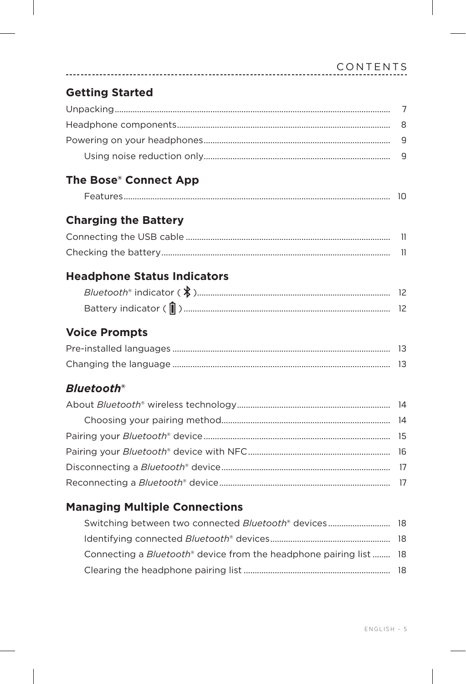#### **Getting Started**

#### The Bose® Connect App

| $\overline{\phantom{a}}$ |  |
|--------------------------|--|
|--------------------------|--|

#### **Charging the Battery**

#### **Headphone Status Indicators**

| Battery indicator ( $\blacksquare$ ). |  |
|---------------------------------------|--|

#### **Voice Prompts**

#### **Bluetooth®**

#### **Managing Multiple Connections**

| Switching between two connected Bluetooth® devices 18                                 |  |
|---------------------------------------------------------------------------------------|--|
|                                                                                       |  |
| Connecting a <i>Bluetooth</i> <sup>®</sup> device from the headphone pairing list  18 |  |
|                                                                                       |  |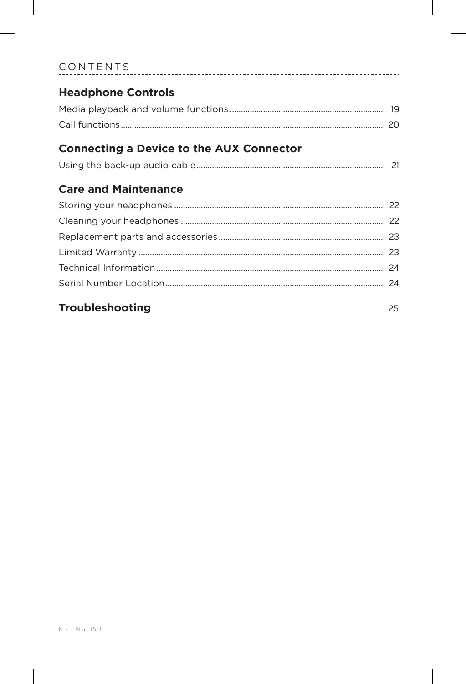| <b>Headphone Controls</b>                       |  |
|-------------------------------------------------|--|
|                                                 |  |
|                                                 |  |
|                                                 |  |
| <b>Connecting a Device to the AUX Connector</b> |  |
|                                                 |  |
| <b>Care and Maintenance</b>                     |  |
|                                                 |  |
|                                                 |  |
|                                                 |  |
|                                                 |  |
|                                                 |  |
|                                                 |  |
|                                                 |  |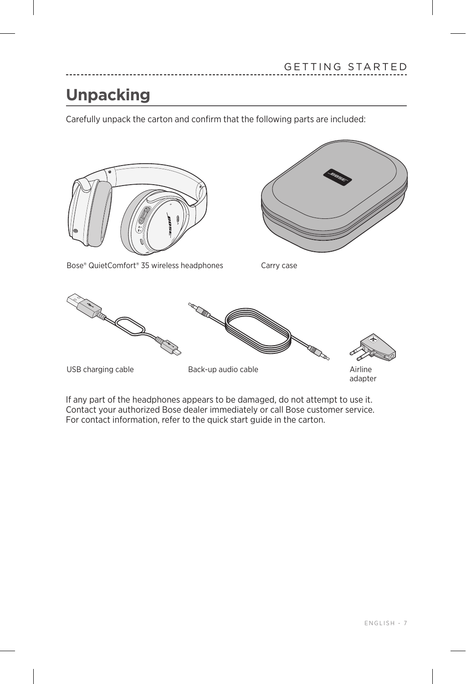### <span id="page-6-0"></span>**Unpacking**

Carefully unpack the carton and confirm that the following parts are included:



If any part of the headphones appears to be damaged, do not attempt to use it. Contact your authorized Bose dealer immediately or call Bose customer service. For contact information, refer to the quick start guide in the carton.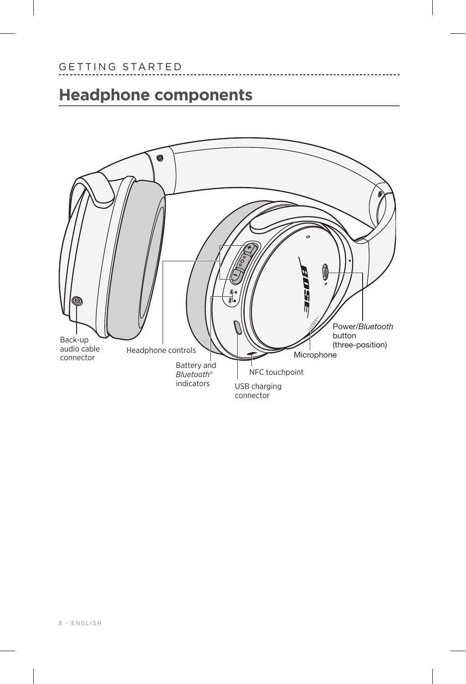### <span id="page-7-0"></span>**Headphone components**



-------------------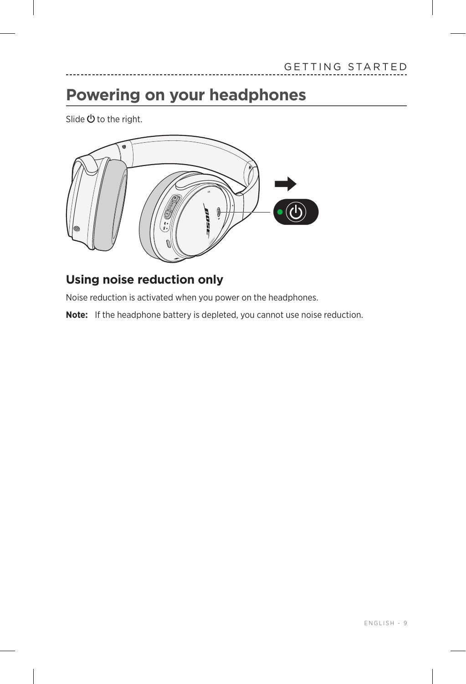### <span id="page-8-1"></span><span id="page-8-0"></span>**Powering on your headphones**

Slide  $\Phi$  to the right.



#### **Using noise reduction only**

Noise reduction is activated when you power on the headphones.

**Note:** If the headphone battery is depleted, you cannot use noise reduction.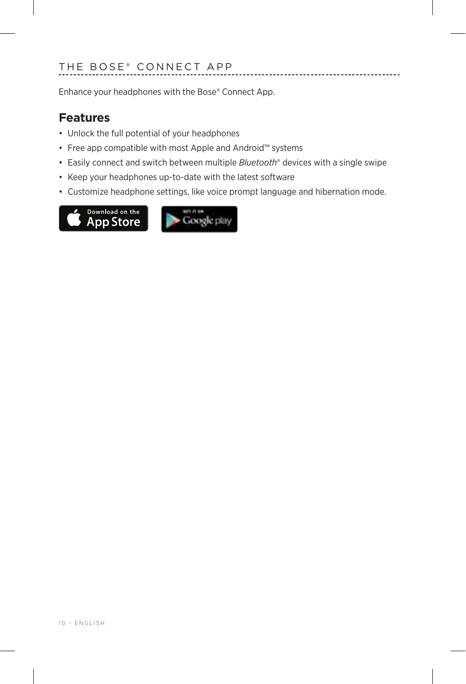<span id="page-9-0"></span>Enhance your headphones with the Bose® Connect App.

#### **Features**

- Unlock the full potential of your headphones
- Free app compatible with most Apple and Android™ systems
- Easily connect and switch between multiple *Bluetooth*® devices with a single swipe
- Keep your headphones up-to-date with the latest software
- Customize headphone settings, like voice prompt language and hibernation mode.

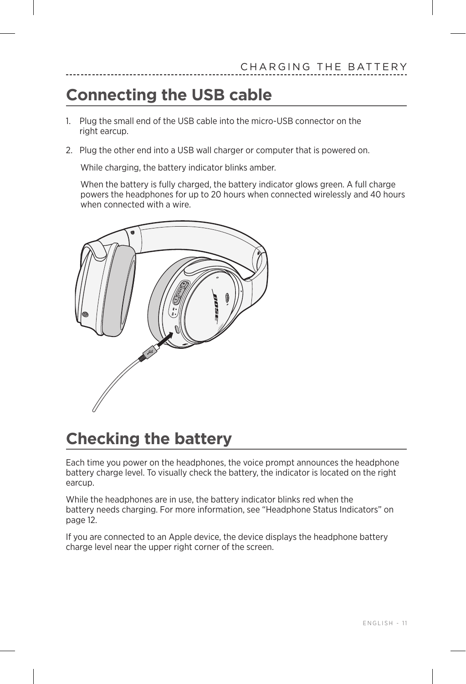### <span id="page-10-0"></span>**Connecting the USB cable**

- 1. Plug the small end of the USB cable into the micro-USB connector on the right earcup.
- 2. Plug the other end into a USB wall charger or computer that is powered on.

While charging, the battery indicator blinks amber.

When the battery is fully charged, the battery indicator glows green. A full charge powers the headphones for up to 20 hours when connected wirelessly and 40 hours when connected with a wire.



### **Checking the battery**

Each time you power on the headphones, the voice prompt announces the headphone battery charge level. To visually check the battery, the indicator is located on the right earcup.

While the headphones are in use, the battery indicator blinks red when the battery needs charging. For more information, see ["Headphone Status Indicators" on](#page-11-1)  [page 12](#page-11-1).

If you are connected to an Apple device, the device displays the headphone battery charge level near the upper right corner of the screen.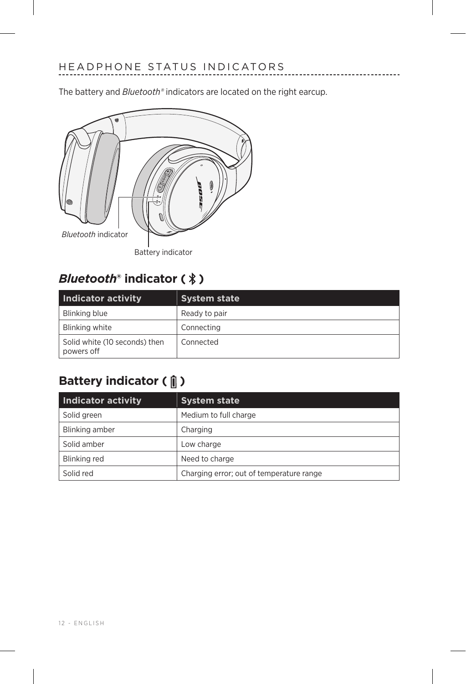<span id="page-11-1"></span><span id="page-11-0"></span>The battery and *Bluetooth®* indicators are located on the right earcup.

\_\_\_\_\_\_\_\_\_\_\_\_



### **Bluetooth<sup>®</sup>** indicator (  $\rlap{\hspace{1.5pt}}\rightharpoondown\mskip{1.5pt}{}$

| Indicator activity                          | <b>System state</b> |
|---------------------------------------------|---------------------|
| Blinking blue                               | Ready to pair       |
| Blinking white                              | Connecting          |
| Solid white (10 seconds) then<br>powers off | Connected           |

### **Battery indicator (** $\parallel$ **)**

| <b>Indicator activity</b> | <b>System state</b>                      |
|---------------------------|------------------------------------------|
| Solid green               | Medium to full charge                    |
| Blinking amber            | Charging                                 |
| Solid amber               | Low charge                               |
| Blinking red              | Need to charge                           |
| Solid red                 | Charging error; out of temperature range |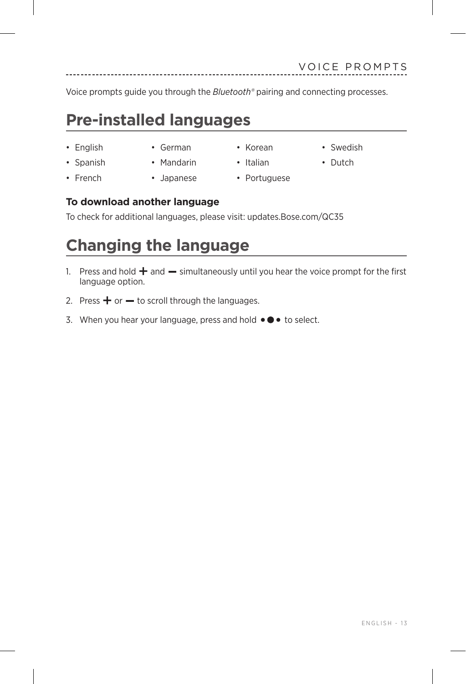<span id="page-12-0"></span>Voice prompts guide you through the *Bluetooth®* pairing and connecting processes.

### **Pre-installed languages**

- 
- English German Korean Swedish
- Spanish Mandarin Italian Dutch
- French Japanese Portuguese
- -
- **To download another language**

To check for additional languages, please visit: updates.Bose.com/QC35

### **Changing the language**

- 1. Press and hold  $\pm$  and  $\pm$  simultaneously until you hear the voice prompt for the first language option.
- 2. Press  $+$  or  $-$  to scroll through the languages.
- 3. When you hear your language, press and hold  $\bullet \bullet \bullet$  to select.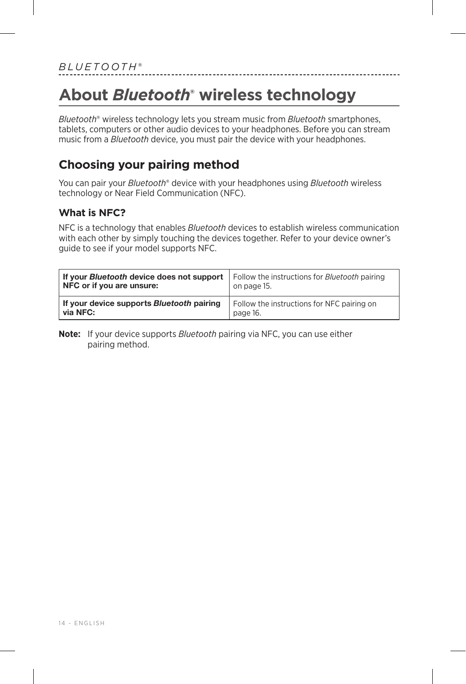## <span id="page-13-0"></span>**About** *Bluetooth***® wireless technology**

*Bluetooth*® wireless technology lets you stream music from *Bluetooth* smartphones, tablets, computers or other audio devices to your headphones. Before you can stream music from a *Bluetooth* device, you must pair the device with your headphones.

-----------------------

#### **Choosing your pairing method**

You can pair your *Bluetooth*® device with your headphones using *Bluetooth* wireless technology or Near Field Communication (NFC).

#### **What is NFC?**

NFC is a technology that enables *Bluetooth* devices to establish wireless communication with each other by simply touching the devices together. Refer to your device owner's guide to see if your model supports NFC.

| <b>If your Bluetooth device does not support</b>   Follow the instructions for Bluetooth pairing<br>NFC or if you are unsure: | on page 15.                                |
|-------------------------------------------------------------------------------------------------------------------------------|--------------------------------------------|
| If your device supports Bluetooth pairing                                                                                     | Follow the instructions for NFC pairing on |
| via NFC:                                                                                                                      | page 16.                                   |

**Note:** If your device supports *Bluetooth* pairing via NFC, you can use either pairing method.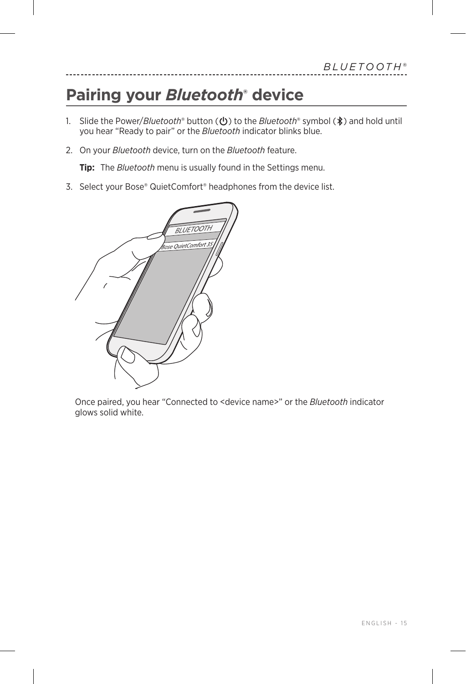## <span id="page-14-1"></span><span id="page-14-0"></span>**Pairing your** *Bluetooth***® device**

- 1. Slide the Power/*Bluetooth*<sup>®</sup> button ( $\bigcirc$ ) to the *Bluetooth*<sup>®</sup> symbol ( $\ast$ ) and hold until you hear "Ready to pair" or the *Bluetooth* indicator blinks blue.
- 2. On your *Bluetooth* device, turn on the *Bluetooth* feature.

**Tip:** The *Bluetooth* menu is usually found in the Settings menu.

3. Select your Bose® QuietComfort® headphones from the device list.



Once paired, you hear "Connected to <device name>" or the *Bluetooth* indicator glows solid white.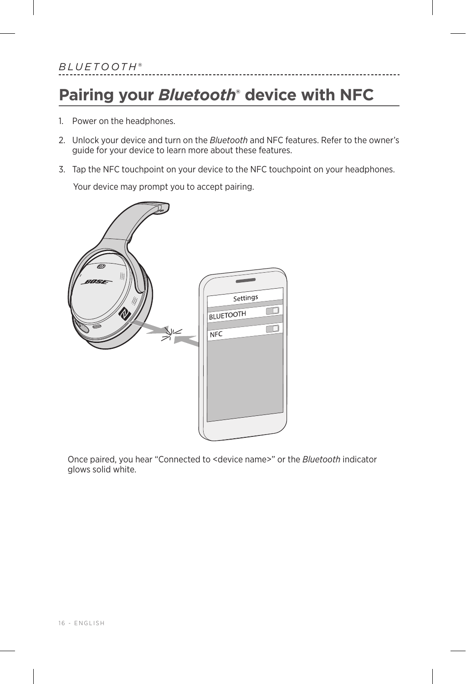## <span id="page-15-1"></span><span id="page-15-0"></span>**Pairing your** *Bluetooth***® device with NFC**

- 1. Power on the headphones.
- 2. Unlock your device and turn on the *Bluetooth* and NFC features. Refer to the owner's guide for your device to learn more about these features.
- 3. Tap the NFC touchpoint on your device to the NFC touchpoint on your headphones.

Your device may prompt you to accept pairing.



Once paired, you hear "Connected to <device name>" or the *Bluetooth* indicator glows solid white.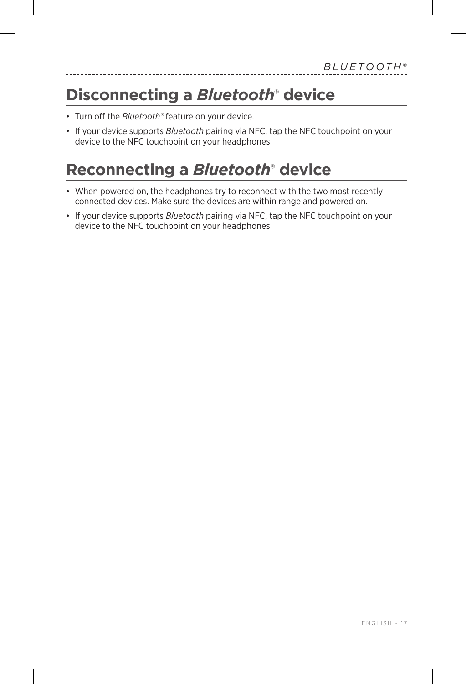### <span id="page-16-0"></span>**Disconnecting a** *Bluetooth***® device**

- Turn off the *Bluetooth®* feature on your device.
- If your device supports *Bluetooth* pairing via NFC, tap the NFC touchpoint on your device to the NFC touchpoint on your headphones.

### **Reconnecting a** *Bluetooth***® device**

- When powered on, the headphones try to reconnect with the two most recently connected devices. Make sure the devices are within range and powered on.
- If your device supports *Bluetooth* pairing via NFC, tap the NFC touchpoint on your device to the NFC touchpoint on your headphones.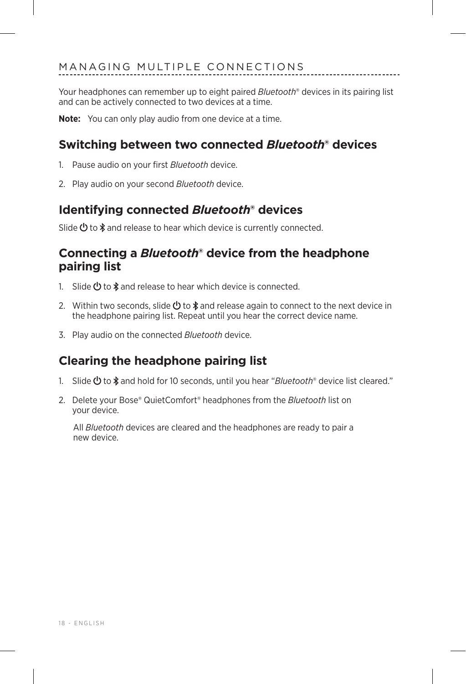<span id="page-17-0"></span>Your headphones can remember up to eight paired *Bluetooth*® devices in its pairing list and can be actively connected to two devices at a time.

**Note:** You can only play audio from one device at a time.

#### **Switching between two connected** *Bluetooth***® devices**

- 1. Pause audio on your first *Bluetooth* device.
- 2. Play audio on your second *Bluetooth* device.

#### **Identifying connected** *Bluetooth***® devices**

Slide  $\bigcirc$  to  $\ast$  and release to hear which device is currently connected.

#### **Connecting a** *Bluetooth***® device from the headphone pairing list**

- 1. Slide  $\bigcirc$  to  $\ast$  and release to hear which device is connected.
- 2. Within two seconds, slide  $\bigcirc$  to  $\ast$  and release again to connect to the next device in the headphone pairing list. Repeat until you hear the correct device name.
- 3. Play audio on the connected *Bluetooth* device.

#### **Clearing the headphone pairing list**

- 1. Slide **①** to  $*$  and hold for 10 seconds, until you hear "*Bluetooth*® device list cleared."
- 2. Delete your Bose® QuietComfort® headphones from the *Bluetooth* list on your device.

All *Bluetooth* devices are cleared and the headphones are ready to pair a new device.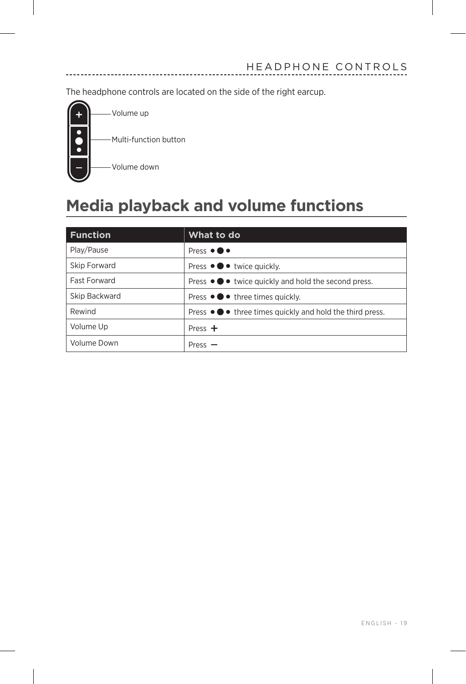<span id="page-18-0"></span>The headphone controls are located on the side of the right earcup.



### **Media playback and volume functions**

| <b>Function</b>     | What to do                                              |
|---------------------|---------------------------------------------------------|
| Play/Pause          | Press $\bullet \bullet \bullet$                         |
| Skip Forward        | Press ● ● ● twice quickly.                              |
| <b>Fast Forward</b> | Press ●●● twice quickly and hold the second press.      |
| Skip Backward       | Press $\bullet \bullet \bullet$ three times quickly.    |
| Rewind              | Press ● ● three times quickly and hold the third press. |
| Volume Up           | Press $+$                                               |
| Volume Down         | Press $-$                                               |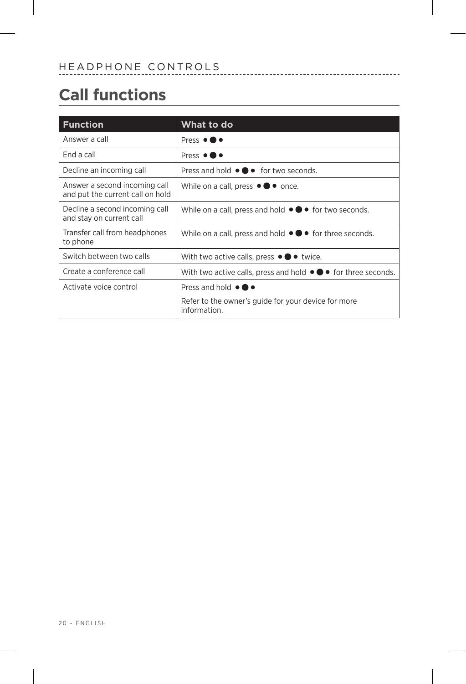## <span id="page-19-0"></span>**Call functions**

| <b>Function</b>                                                   | What to do                                                                         |
|-------------------------------------------------------------------|------------------------------------------------------------------------------------|
| Answer a call                                                     | Press $\bullet \bullet \bullet$                                                    |
| End a call                                                        | Press $\bullet \bullet \bullet$                                                    |
| Decline an incoming call                                          | Press and hold $\bullet \bullet \bullet$ for two seconds.                          |
| Answer a second incoming call<br>and put the current call on hold | While on a call, press $\bullet \bullet \bullet$ once.                             |
| Decline a second incoming call<br>and stay on current call        | While on a call, press and hold $\bullet \bullet \bullet$ for two seconds.         |
| Transfer call from headphones<br>to phone                         | While on a call, press and hold $\bullet \bullet \bullet$ for three seconds.       |
| Switch between two calls                                          | With two active calls, press $\bullet \bullet \bullet$ twice.                      |
| Create a conference call                                          | With two active calls, press and hold $\bullet \bullet \bullet$ for three seconds. |
| Activate voice control                                            | Press and hold $\bullet \bullet \bullet$                                           |
|                                                                   | Refer to the owner's guide for your device for more<br>information.                |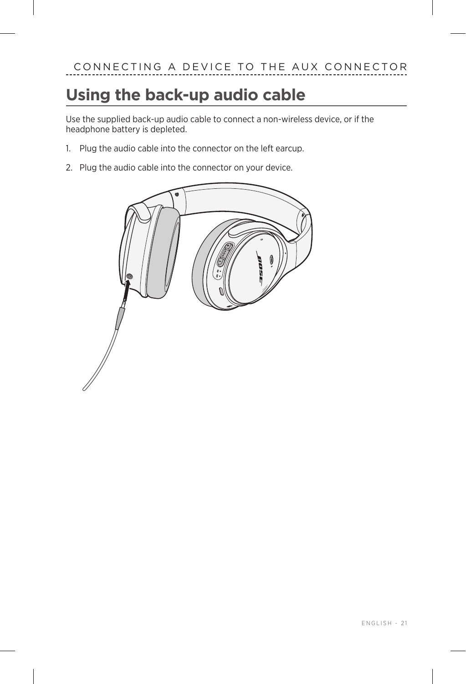## <span id="page-20-0"></span>**Using the back-up audio cable**

Use the supplied back-up audio cable to connect a non-wireless device, or if the headphone battery is depleted.

- 1. Plug the audio cable into the connector on the left earcup.
- 2. Plug the audio cable into the connector on your device.

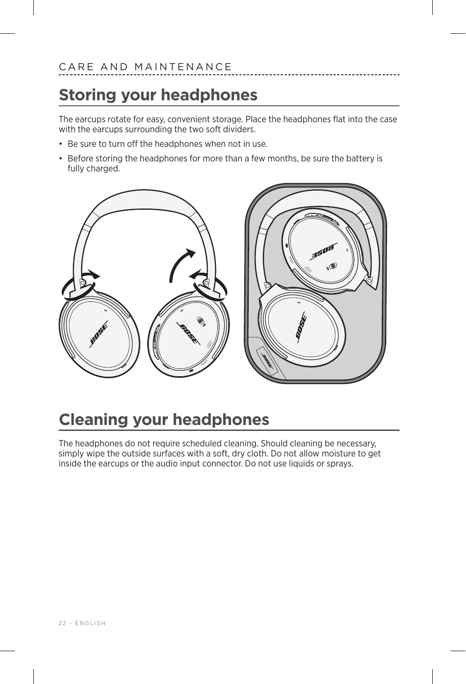### <span id="page-21-0"></span>**Storing your headphones**

The earcups rotate for easy, convenient storage. Place the headphones flat into the case with the earcups surrounding the two soft dividers.

- Be sure to turn off the headphones when not in use.
- Before storing the headphones for more than a few months, be sure the battery is fully charged.



## **Cleaning your headphones**

The headphones do not require scheduled cleaning. Should cleaning be necessary, simply wipe the outside surfaces with a soft, dry cloth. Do not allow moisture to get inside the earcups or the audio input connector. Do not use liquids or sprays.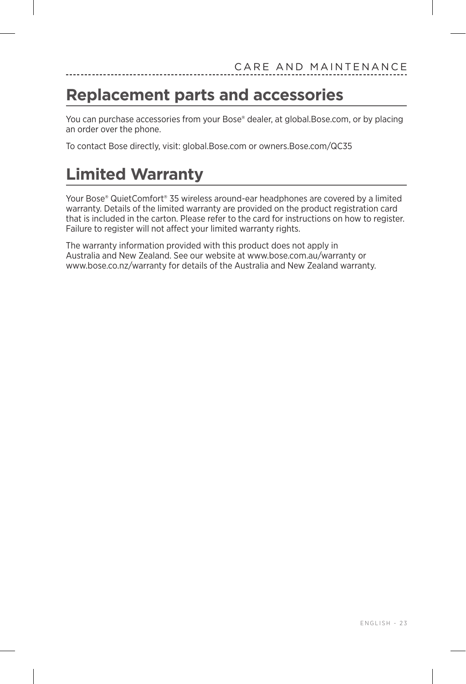### <span id="page-22-0"></span>**Replacement parts and accessories**

You can purchase accessories from your Bose® dealer, at global.Bose.com, or by placing an order over the phone.

To contact Bose directly, visit: global.Bose.com or owners.Bose.com/QC35

### **Limited Warranty**

Your Bose® QuietComfort® 35 wireless around-ear headphones are covered by a limited warranty. Details of the limited warranty are provided on the product registration card that is included in the carton. Please refer to the card for instructions on how to register. Failure to register will not affect your limited warranty rights.

The warranty information provided with this product does not apply in Australia and New Zealand. See our website at www.bose.com.au/warranty or www.bose.co.nz/warranty for details of the Australia and New Zealand warranty.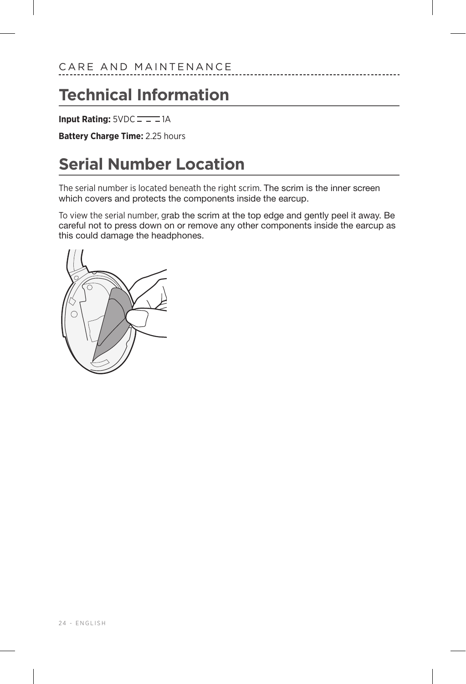### <span id="page-23-0"></span>**Technical Information**

**Input Rating: 5VDC**  $= -1$ **A** 

**Battery Charge Time:** 2.25 hours

### **Serial Number Location**

The serial number is located beneath the right scrim. The scrim is the inner screen which covers and protects the components inside the earcup.

To view the serial number, grab the scrim at the top edge and gently peel it away. Be careful not to press down on or remove any other components inside the earcup as this could damage the headphones.

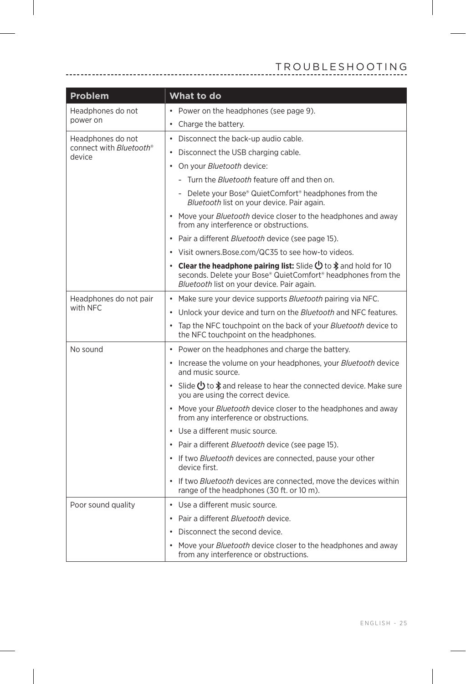<span id="page-24-0"></span>

| Problem                           | What to do                                                                                                                                                                                   |
|-----------------------------------|----------------------------------------------------------------------------------------------------------------------------------------------------------------------------------------------|
| Headphones do not<br>power on     | • Power on the headphones (see page 9).                                                                                                                                                      |
|                                   | • Charge the battery.                                                                                                                                                                        |
| Headphones do not                 | • Disconnect the back-up audio cable.                                                                                                                                                        |
| connect with Bluetooth®<br>device | • Disconnect the USB charging cable.                                                                                                                                                         |
|                                   | • On your <i>Bluetooth</i> device:                                                                                                                                                           |
|                                   | - Turn the <i>Bluetooth</i> feature off and then on.                                                                                                                                         |
|                                   | - Delete your Bose® QuietComfort® headphones from the<br>Bluetooth list on your device. Pair again.                                                                                          |
|                                   | • Move your <i>Bluetooth</i> device closer to the headphones and away<br>from any interference or obstructions.                                                                              |
|                                   | • Pair a different <i>Bluetooth</i> device (see page 15).                                                                                                                                    |
|                                   | • Visit owners. Bose.com/QC35 to see how-to videos.                                                                                                                                          |
|                                   | • Clear the headphone pairing list: Slide $\bigcirc$ to $\ast$ and hold for 10<br>seconds. Delete your Bose® QuietComfort® headphones from the<br>Bluetooth list on your device. Pair again. |
| Headphones do not pair            | Make sure your device supports <i>Bluetooth</i> pairing via NFC.<br>$\bullet$                                                                                                                |
| with NFC                          | • Unlock your device and turn on the Bluetooth and NFC features.                                                                                                                             |
|                                   | • Tap the NFC touchpoint on the back of your Bluetooth device to<br>the NFC touchpoint on the headphones.                                                                                    |
| No sound                          | • Power on the headphones and charge the battery.                                                                                                                                            |
|                                   | • Increase the volume on your headphones, your Bluetooth device<br>and music source.                                                                                                         |
|                                   | • Slide $\bigcup$ to $\oint$ and release to hear the connected device. Make sure<br>you are using the correct device.                                                                        |
|                                   | • Move your <i>Bluetooth</i> device closer to the headphones and away<br>from any interference or obstructions.                                                                              |
|                                   | • Use a different music source.                                                                                                                                                              |
|                                   | • Pair a different <i>Bluetooth</i> device (see page 15).                                                                                                                                    |
|                                   | • If two Bluetooth devices are connected, pause your other<br>device first.                                                                                                                  |
|                                   | • If two <i>Bluetooth</i> devices are connected, move the devices within<br>range of the headphones (30 ft. or 10 m).                                                                        |
| Poor sound quality                | • Use a different music source.                                                                                                                                                              |
|                                   | • Pair a different <i>Bluetooth</i> device.                                                                                                                                                  |
|                                   | Disconnect the second device.                                                                                                                                                                |
|                                   | Move your <i>Bluetooth</i> device closer to the headphones and away<br>from any interference or obstructions.                                                                                |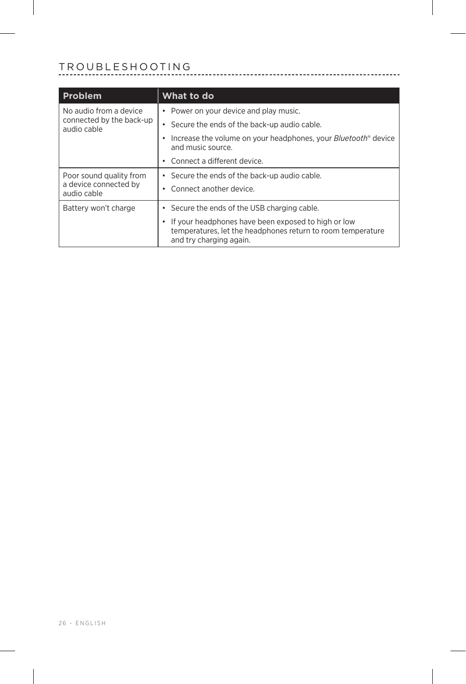#### TROUBLESHOOTING

| Problem                                                           | What to do                                                                                                                                    |
|-------------------------------------------------------------------|-----------------------------------------------------------------------------------------------------------------------------------------------|
| No audio from a device<br>connected by the back-up<br>audio cable | Power on your device and play music.                                                                                                          |
|                                                                   | Secure the ends of the back-up audio cable.                                                                                                   |
|                                                                   | Increase the volume on your headphones, your <i>Bluetooth</i> <sup>®</sup> device<br>and music source.                                        |
|                                                                   | Connect a different device.                                                                                                                   |
| Poor sound quality from<br>a device connected by<br>audio cable   | • Secure the ends of the back-up audio cable.                                                                                                 |
|                                                                   | • Connect another device                                                                                                                      |
| Battery won't charge                                              | Secure the ends of the USB charging cable.                                                                                                    |
|                                                                   | If your headphones have been exposed to high or low<br>temperatures, let the headphones return to room temperature<br>and try charging again. |